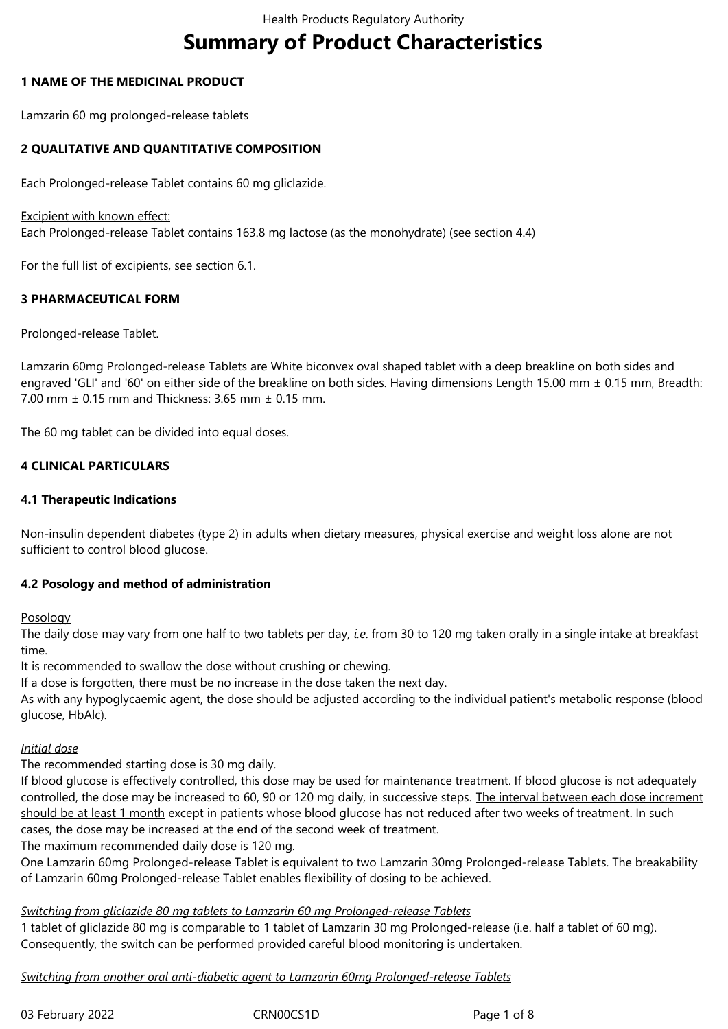# **Summary of Product Characteristics**

# **1 NAME OF THE MEDICINAL PRODUCT**

Lamzarin 60 mg prolonged-release tablets

# **2 QUALITATIVE AND QUANTITATIVE COMPOSITION**

Each Prolonged-release Tablet contains 60 mg gliclazide.

#### Excipient with known effect:

Each Prolonged-release Tablet contains 163.8 mg lactose (as the monohydrate) (see section 4.4)

For the full list of excipients, see section 6.1.

# **3 PHARMACEUTICAL FORM**

Prolonged-release Tablet.

Lamzarin 60mg Prolonged-release Tablets are White biconvex oval shaped tablet with a deep breakline on both sides and engraved 'GLI' and '60' on either side of the breakline on both sides. Having dimensions Length 15.00 mm ± 0.15 mm, Breadth: 7.00 mm ± 0.15 mm and Thickness: 3.65 mm ± 0.15 mm.

The 60 mg tablet can be divided into equal doses.

# **4 CLINICAL PARTICULARS**

# **4.1 Therapeutic Indications**

Non-insulin dependent diabetes (type 2) in adults when dietary measures, physical exercise and weight loss alone are not sufficient to control blood glucose.

## **4.2 Posology and method of administration**

Posology

The daily dose may vary from one half to two tablets per day, *i.e*. from 30 to 120 mg taken orally in a single intake at breakfast time.

It is recommended to swallow the dose without crushing or chewing.

If a dose is forgotten, there must be no increase in the dose taken the next day.

As with any hypoglycaemic agent, the dose should be adjusted according to the individual patient's metabolic response (blood glucose, HbAlc).

## *Initial dose*

The recommended starting dose is 30 mg daily.

If blood glucose is effectively controlled, this dose may be used for maintenance treatment. If blood glucose is not adequately controlled, the dose may be increased to 60, 90 or 120 mg daily, in successive steps. The interval between each dose increment should be at least 1 month except in patients whose blood glucose has not reduced after two weeks of treatment. In such cases, the dose may be increased at the end of the second week of treatment.

The maximum recommended daily dose is 120 mg.

One Lamzarin 60mg Prolonged-release Tablet is equivalent to two Lamzarin 30mg Prolonged-release Tablets. The breakability of Lamzarin 60mg Prolonged-release Tablet enables flexibility of dosing to be achieved.

## *Switching from gliclazide 80 mg tablets to Lamzarin 60 mg Prolonged-release Tablets*

1 tablet of gliclazide 80 mg is comparable to 1 tablet of Lamzarin 30 mg Prolonged-release (i.e. half a tablet of 60 mg). Consequently, the switch can be performed provided careful blood monitoring is undertaken.

# *Switching from another oral anti-diabetic agent to Lamzarin 60mg Prolonged-release Tablets*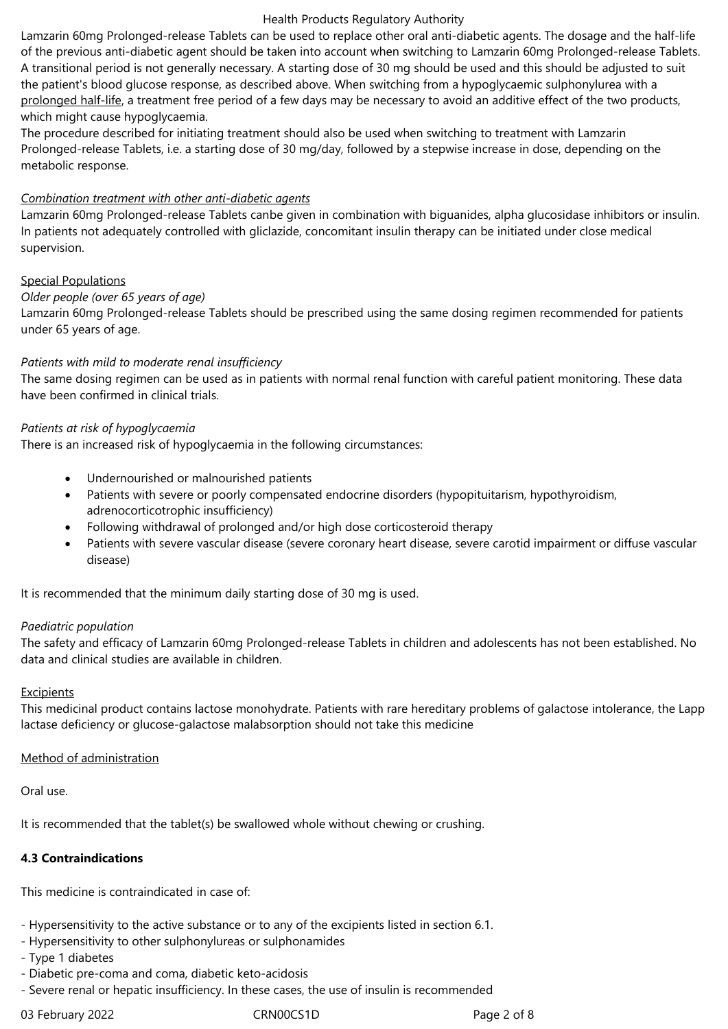#### Health Products Regulatory Authority

Lamzarin 60mg Prolonged-release Tablets can be used to replace other oral anti-diabetic agents. The dosage and the half-life of the previous anti-diabetic agent should be taken into account when switching to Lamzarin 60mg Prolonged-release Tablets. A transitional period is not generally necessary. A starting dose of 30 mg should be used and this should be adjusted to suit the patient's blood glucose response, as described above. When switching from a hypoglycaemic sulphonylurea with a prolonged half-life, a treatment free period of a few days may be necessary to avoid an additive effect of the two products, which might cause hypoglycaemia.

The procedure described for initiating treatment should also be used when switching to treatment with Lamzarin Prolonged-release Tablets, i.e. a starting dose of 30 mg/day, followed by a stepwise increase in dose, depending on the metabolic response.

## *Combination treatment with other anti-diabetic agents*

Lamzarin 60mg Prolonged-release Tablets canbe given in combination with biguanides, alpha glucosidase inhibitors or insulin. In patients not adequately controlled with gliclazide, concomitant insulin therapy can be initiated under close medical supervision.

# Special Populations

## *Older people (over 65 years of age)*

Lamzarin 60mg Prolonged-release Tablets should be prescribed using the same dosing regimen recommended for patients under 65 years of age.

# *Patients with mild to moderate renal insufficiency*

The same dosing regimen can be used as in patients with normal renal function with careful patient monitoring. These data have been confirmed in clinical trials.

## *Patients at risk of hypoglycaemia*

There is an increased risk of hypoglycaemia in the following circumstances:

- Undernourished or malnourished patients
- Patients with severe or poorly compensated endocrine disorders (hypopituitarism, hypothyroidism, adrenocorticotrophic insufficiency)
- Following withdrawal of prolonged and/or high dose corticosteroid therapy
- Patients with severe vascular disease (severe coronary heart disease, severe carotid impairment or diffuse vascular disease)

It is recommended that the minimum daily starting dose of 30 mg is used.

## *Paediatric population*

The safety and efficacy of Lamzarin 60mg Prolonged-release Tablets in children and adolescents has not been established. No data and clinical studies are available in children.

## Excipients

This medicinal product contains lactose monohydrate. Patients with rare hereditary problems of galactose intolerance, the Lapp lactase deficiency or glucose-galactose malabsorption should not take this medicine

# Method of administration

Oral use.

It is recommended that the tablet(s) be swallowed whole without chewing or crushing.

## **4.3 Contraindications**

This medicine is contraindicated in case of:

- Hypersensitivity to the active substance or to any of the excipients listed in section 6.1.
- Hypersensitivity to other sulphonylureas or sulphonamides
- Type 1 diabetes
- Diabetic pre-coma and coma, diabetic keto-acidosis
- Severe renal or hepatic insufficiency. In these cases, the use of insulin is recommended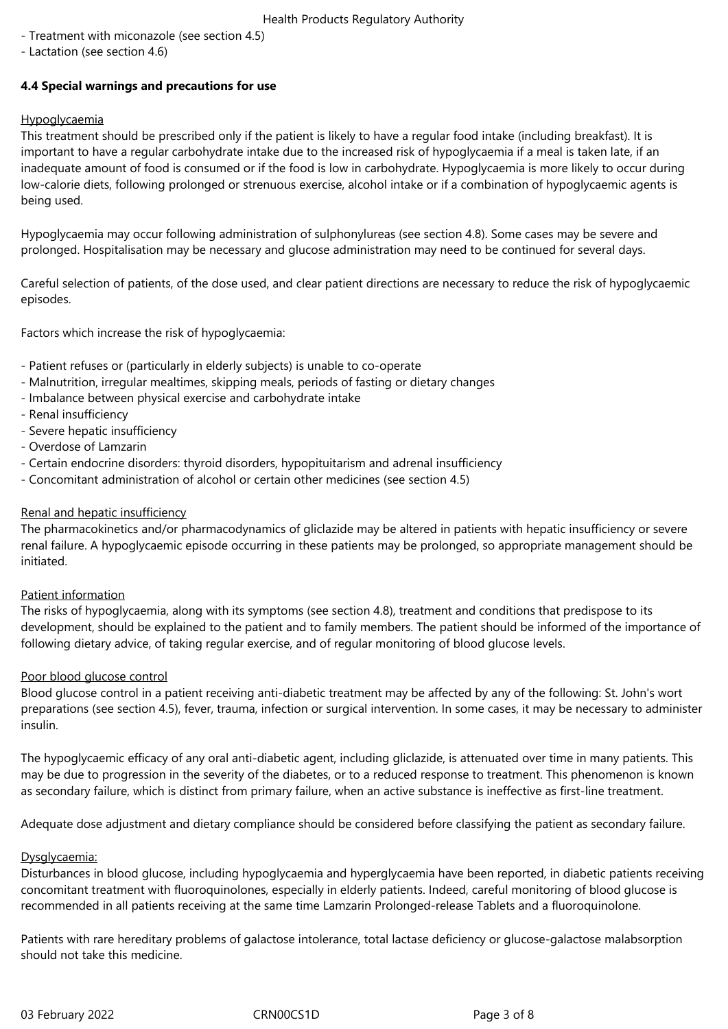- Health Products Regulatory Authority
- Treatment with miconazole (see section 4.5)
- Lactation (see section 4.6)

# **4.4 Special warnings and precautions for use**

# Hypoglycaemia

This treatment should be prescribed only if the patient is likely to have a regular food intake (including breakfast). It is important to have a regular carbohydrate intake due to the increased risk of hypoglycaemia if a meal is taken late, if an inadequate amount of food is consumed or if the food is low in carbohydrate. Hypoglycaemia is more likely to occur during low-calorie diets, following prolonged or strenuous exercise, alcohol intake or if a combination of hypoglycaemic agents is being used.

Hypoglycaemia may occur following administration of sulphonylureas (see section 4.8). Some cases may be severe and prolonged. Hospitalisation may be necessary and glucose administration may need to be continued for several days.

Careful selection of patients, of the dose used, and clear patient directions are necessary to reduce the risk of hypoglycaemic episodes.

Factors which increase the risk of hypoglycaemia:

- Patient refuses or (particularly in elderly subjects) is unable to co-operate
- Malnutrition, irregular mealtimes, skipping meals, periods of fasting or dietary changes
- Imbalance between physical exercise and carbohydrate intake
- Renal insufficiency
- Severe hepatic insufficiency
- Overdose of Lamzarin
- Certain endocrine disorders: thyroid disorders, hypopituitarism and adrenal insufficiency
- Concomitant administration of alcohol or certain other medicines (see section 4.5)

## Renal and hepatic insufficiency

The pharmacokinetics and/or pharmacodynamics of gliclazide may be altered in patients with hepatic insufficiency or severe renal failure. A hypoglycaemic episode occurring in these patients may be prolonged, so appropriate management should be initiated.

## Patient information

The risks of hypoglycaemia, along with its symptoms (see section 4.8), treatment and conditions that predispose to its development, should be explained to the patient and to family members. The patient should be informed of the importance of following dietary advice, of taking regular exercise, and of regular monitoring of blood glucose levels.

## Poor blood glucose control

Blood glucose control in a patient receiving anti-diabetic treatment may be affected by any of the following: St. John's wort preparations (see section 4.5), fever, trauma, infection or surgical intervention. In some cases, it may be necessary to administer insulin.

The hypoglycaemic efficacy of any oral anti-diabetic agent, including gliclazide, is attenuated over time in many patients. This may be due to progression in the severity of the diabetes, or to a reduced response to treatment. This phenomenon is known as secondary failure, which is distinct from primary failure, when an active substance is ineffective as first-line treatment.

Adequate dose adjustment and dietary compliance should be considered before classifying the patient as secondary failure.

## Dysglycaemia:

Disturbances in blood glucose, including hypoglycaemia and hyperglycaemia have been reported, in diabetic patients receiving concomitant treatment with fluoroquinolones, especially in elderly patients. Indeed, careful monitoring of blood glucose is recommended in all patients receiving at the same time Lamzarin Prolonged-release Tablets and a fluoroquinolone.

Patients with rare hereditary problems of galactose intolerance, total lactase deficiency or glucose-galactose malabsorption should not take this medicine.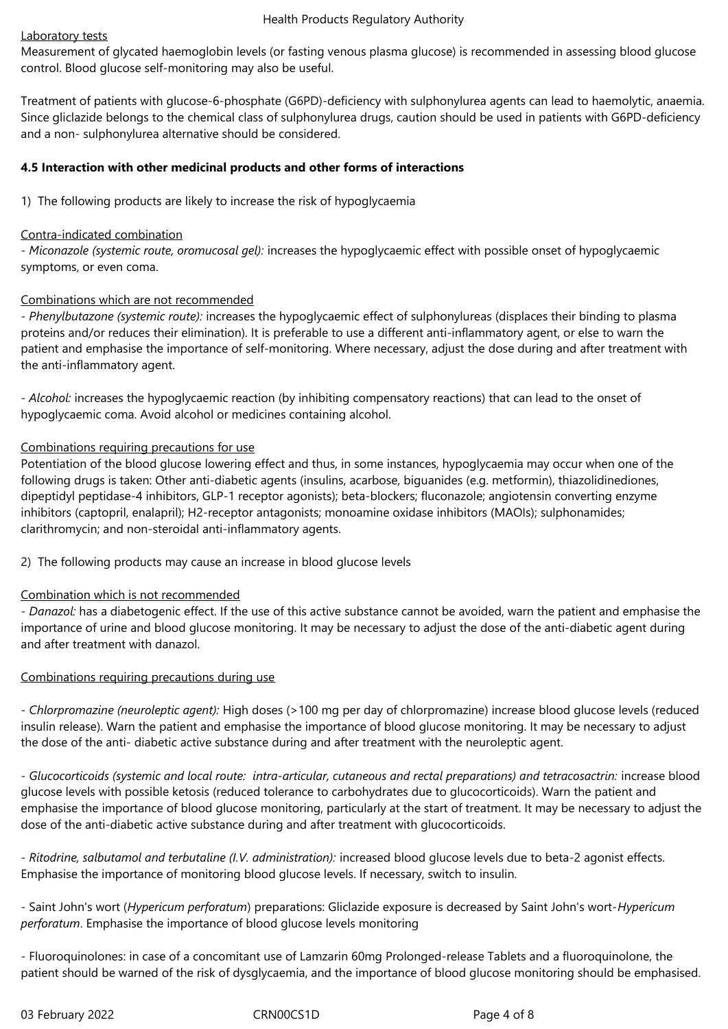# Laboratory tests

Measurement of glycated haemoglobin levels (or fasting venous plasma glucose) is recommended in assessing blood glucose control. Blood glucose self-monitoring may also be useful.

Treatment of patients with glucose-6-phosphate (G6PD)-deficiency with sulphonylurea agents can lead to haemolytic, anaemia. Since gliclazide belongs to the chemical class of sulphonylurea drugs, caution should be used in patients with G6PD-deficiency and a non- sulphonylurea alternative should be considered.

# **4.5 Interaction with other medicinal products and other forms of interactions**

1) The following products are likely to increase the risk of hypoglycaemia

# Contra-indicated combination

*- Miconazole (systemic route, oromucosal gel):* increases the hypoglycaemic effect with possible onset of hypoglycaemic symptoms, or even coma.

# Combinations which are not recommended

*- Phenylbutazone (systemic route):* increases the hypoglycaemic effect of sulphonylureas (displaces their binding to plasma proteins and/or reduces their elimination). It is preferable to use a different anti-inflammatory agent, or else to warn the patient and emphasise the importance of self-monitoring. Where necessary, adjust the dose during and after treatment with the anti-inflammatory agent.

*- Alcohol:* increases the hypoglycaemic reaction (by inhibiting compensatory reactions) that can lead to the onset of hypoglycaemic coma. Avoid alcohol or medicines containing alcohol.

# Combinations requiring precautions for use

Potentiation of the blood glucose lowering effect and thus, in some instances, hypoglycaemia may occur when one of the following drugs is taken: Other anti-diabetic agents (insulins, acarbose, biguanides (e.g. metformin), thiazolidinediones, dipeptidyl peptidase-4 inhibitors, GLP-1 receptor agonists); beta-blockers; fluconazole; angiotensin converting enzyme inhibitors (captopril, enalapril); H2-receptor antagonists; monoamine oxidase inhibitors (MAOIs); sulphonamides; clarithromycin; and non-steroidal anti-inflammatory agents.

2) The following products may cause an increase in blood glucose levels

# Combination which is not recommended

*- Danazol:* has a diabetogenic effect. If the use of this active substance cannot be avoided, warn the patient and emphasise the importance of urine and blood glucose monitoring. It may be necessary to adjust the dose of the anti-diabetic agent during and after treatment with danazol.

# Combinations requiring precautions during use

*- Chlorpromazine (neuroleptic agent):* High doses (>100 mg per day of chlorpromazine) increase blood glucose levels (reduced insulin release). Warn the patient and emphasise the importance of blood glucose monitoring. It may be necessary to adjust the dose of the anti- diabetic active substance during and after treatment with the neuroleptic agent.

*- Glucocorticoids (systemic and local route: intra-articular, cutaneous and rectal preparations) and tetracosactrin:* increase blood glucose levels with possible ketosis (reduced tolerance to carbohydrates due to glucocorticoids). Warn the patient and emphasise the importance of blood glucose monitoring, particularly at the start of treatment. It may be necessary to adjust the dose of the anti-diabetic active substance during and after treatment with glucocorticoids.

*- Ritodrine, salbutamol and terbutaline (I.V. administration):* increased blood glucose levels due to beta-2 agonist effects. Emphasise the importance of monitoring blood glucose levels. If necessary, switch to insulin.

- Saint John's wort (*Hypericum perforatum*) preparations: Gliclazide exposure is decreased by Saint John's wort-*Hypericum perforatum*. Emphasise the importance of blood glucose levels monitoring

- Fluoroquinolones: in case of a concomitant use of Lamzarin 60mg Prolonged-release Tablets and a fluoroquinolone, the patient should be warned of the risk of dysglycaemia, and the importance of blood glucose monitoring should be emphasised.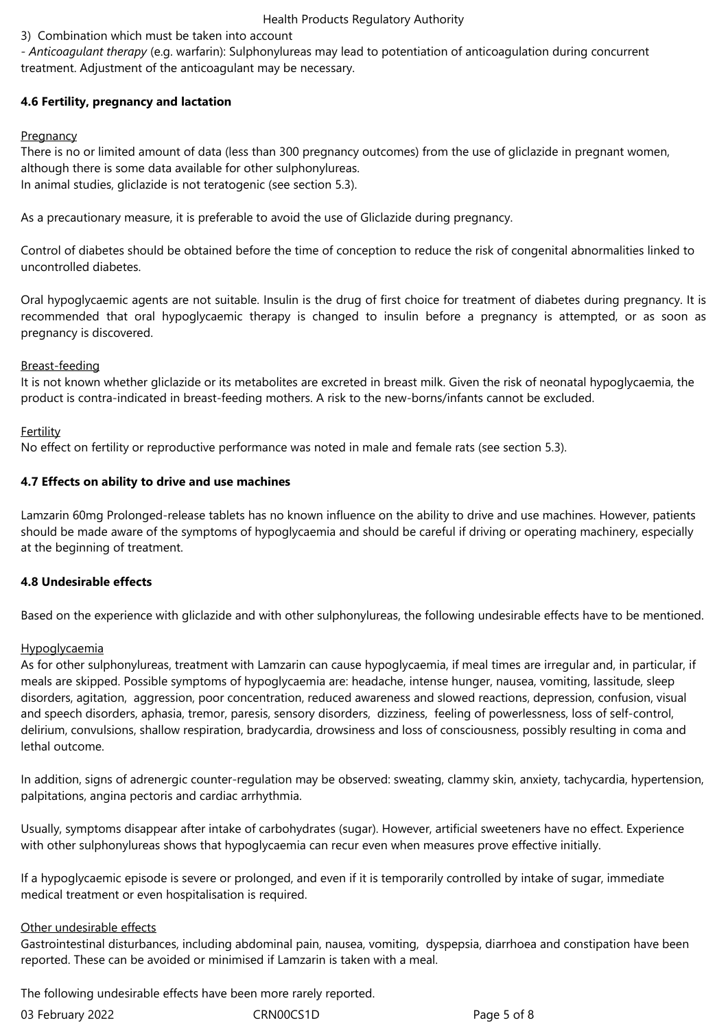# Health Products Regulatory Authority

# 3) Combination which must be taken into account

*- Anticoagulant therapy* (e.g. warfarin): Sulphonylureas may lead to potentiation of anticoagulation during concurrent treatment. Adjustment of the anticoagulant may be necessary.

# **4.6 Fertility, pregnancy and lactation**

# **Pregnancy**

There is no or limited amount of data (less than 300 pregnancy outcomes) from the use of gliclazide in pregnant women, although there is some data available for other sulphonylureas. In animal studies, gliclazide is not teratogenic (see section 5.3).

As a precautionary measure, it is preferable to avoid the use of Gliclazide during pregnancy.

Control of diabetes should be obtained before the time of conception to reduce the risk of congenital abnormalities linked to uncontrolled diabetes.

Oral hypoglycaemic agents are not suitable. Insulin is the drug of first choice for treatment of diabetes during pregnancy. It is recommended that oral hypoglycaemic therapy is changed to insulin before a pregnancy is attempted, or as soon as pregnancy is discovered.

## Breast-feeding

It is not known whether gliclazide or its metabolites are excreted in breast milk. Given the risk of neonatal hypoglycaemia, the product is contra-indicated in breast-feeding mothers. A risk to the new-borns/infants cannot be excluded.

# Fertility

No effect on fertility or reproductive performance was noted in male and female rats (see section 5.3).

# **4.7 Effects on ability to drive and use machines**

Lamzarin 60mg Prolonged-release tablets has no known influence on the ability to drive and use machines. However, patients should be made aware of the symptoms of hypoglycaemia and should be careful if driving or operating machinery, especially at the beginning of treatment.

## **4.8 Undesirable effects**

Based on the experience with gliclazide and with other sulphonylureas, the following undesirable effects have to be mentioned.

## Hypoglycaemia

As for other sulphonylureas, treatment with Lamzarin can cause hypoglycaemia, if meal times are irregular and, in particular, if meals are skipped. Possible symptoms of hypoglycaemia are: headache, intense hunger, nausea, vomiting, lassitude, sleep disorders, agitation, aggression, poor concentration, reduced awareness and slowed reactions, depression, confusion, visual and speech disorders, aphasia, tremor, paresis, sensory disorders, dizziness, feeling of powerlessness, loss of self-control, delirium, convulsions, shallow respiration, bradycardia, drowsiness and loss of consciousness, possibly resulting in coma and lethal outcome.

In addition, signs of adrenergic counter-regulation may be observed: sweating, clammy skin, anxiety, tachycardia, hypertension, palpitations, angina pectoris and cardiac arrhythmia.

Usually, symptoms disappear after intake of carbohydrates (sugar). However, artificial sweeteners have no effect. Experience with other sulphonylureas shows that hypoglycaemia can recur even when measures prove effective initially.

If a hypoglycaemic episode is severe or prolonged, and even if it is temporarily controlled by intake of sugar, immediate medical treatment or even hospitalisation is required.

# Other undesirable effects

Gastrointestinal disturbances, including abdominal pain, nausea, vomiting, dyspepsia, diarrhoea and constipation have been reported. These can be avoided or minimised if Lamzarin is taken with a meal.

The following undesirable effects have been more rarely reported.

| 03 February 2022 | CRN00 |
|------------------|-------|
|                  |       |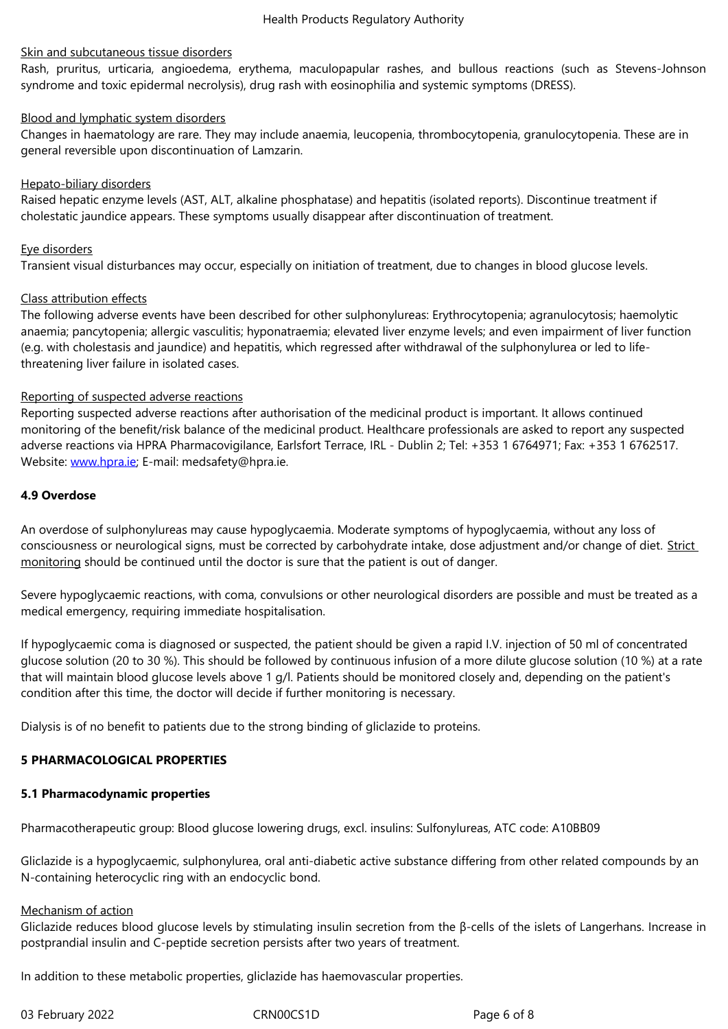Rash, pruritus, urticaria, angioedema, erythema, maculopapular rashes, and bullous reactions (such as Stevens-Johnson syndrome and toxic epidermal necrolysis), drug rash with eosinophilia and systemic symptoms (DRESS).

## Blood and lymphatic system disorders

Changes in haematology are rare. They may include anaemia, leucopenia, thrombocytopenia, granulocytopenia. These are in general reversible upon discontinuation of Lamzarin.

#### Hepato-biliary disorders

Raised hepatic enzyme levels (AST, ALT, alkaline phosphatase) and hepatitis (isolated reports). Discontinue treatment if cholestatic jaundice appears. These symptoms usually disappear after discontinuation of treatment.

#### Eye disorders

Transient visual disturbances may occur, especially on initiation of treatment, due to changes in blood glucose levels.

#### Class attribution effects

The following adverse events have been described for other sulphonylureas: Erythrocytopenia; agranulocytosis; haemolytic anaemia; pancytopenia; allergic vasculitis; hyponatraemia; elevated liver enzyme levels; and even impairment of liver function (e.g. with cholestasis and jaundice) and hepatitis, which regressed after withdrawal of the sulphonylurea or led to lifethreatening liver failure in isolated cases.

#### Reporting of suspected adverse reactions

Reporting suspected adverse reactions after authorisation of the medicinal product is important. It allows continued monitoring of the benefit/risk balance of the medicinal product. Healthcare professionals are asked to report any suspected adverse reactions via HPRA Pharmacovigilance, Earlsfort Terrace, IRL - Dublin 2; Tel: +353 1 6764971; Fax: +353 1 6762517. Website: www.hpra.ie; E-mail: medsafety@hpra.ie.

#### **4.9 Overdose**

An overd[ose of sulpho](http://www.hpra.ie/)nylureas may cause hypoglycaemia. Moderate symptoms of hypoglycaemia, without any loss of consciousness or neurological signs, must be corrected by carbohydrate intake, dose adjustment and/or change of diet. Strict monitoring should be continued until the doctor is sure that the patient is out of danger.

Severe hypoglycaemic reactions, with coma, convulsions or other neurological disorders are possible and must be treated as a medical emergency, requiring immediate hospitalisation.

If hypoglycaemic coma is diagnosed or suspected, the patient should be given a rapid I.V. injection of 50 ml of concentrated glucose solution (20 to 30 %). This should be followed by continuous infusion of a more dilute glucose solution (10 %) at a rate that will maintain blood glucose levels above 1 g/l. Patients should be monitored closely and, depending on the patient's condition after this time, the doctor will decide if further monitoring is necessary.

Dialysis is of no benefit to patients due to the strong binding of gliclazide to proteins.

## **5 PHARMACOLOGICAL PROPERTIES**

#### **5.1 Pharmacodynamic properties**

Pharmacotherapeutic group: Blood glucose lowering drugs, excl. insulins: Sulfonylureas, ATC code: A10BB09

Gliclazide is a hypoglycaemic, sulphonylurea, oral anti-diabetic active substance differing from other related compounds by an N-containing heterocyclic ring with an endocyclic bond.

#### Mechanism of action

Gliclazide reduces blood glucose levels by stimulating insulin secretion from the β-cells of the islets of Langerhans. Increase in postprandial insulin and C-peptide secretion persists after two years of treatment.

In addition to these metabolic properties, gliclazide has haemovascular properties.

03 February 2022 **CRNOOCS1D** CRNOOCS1D Page 6 of 8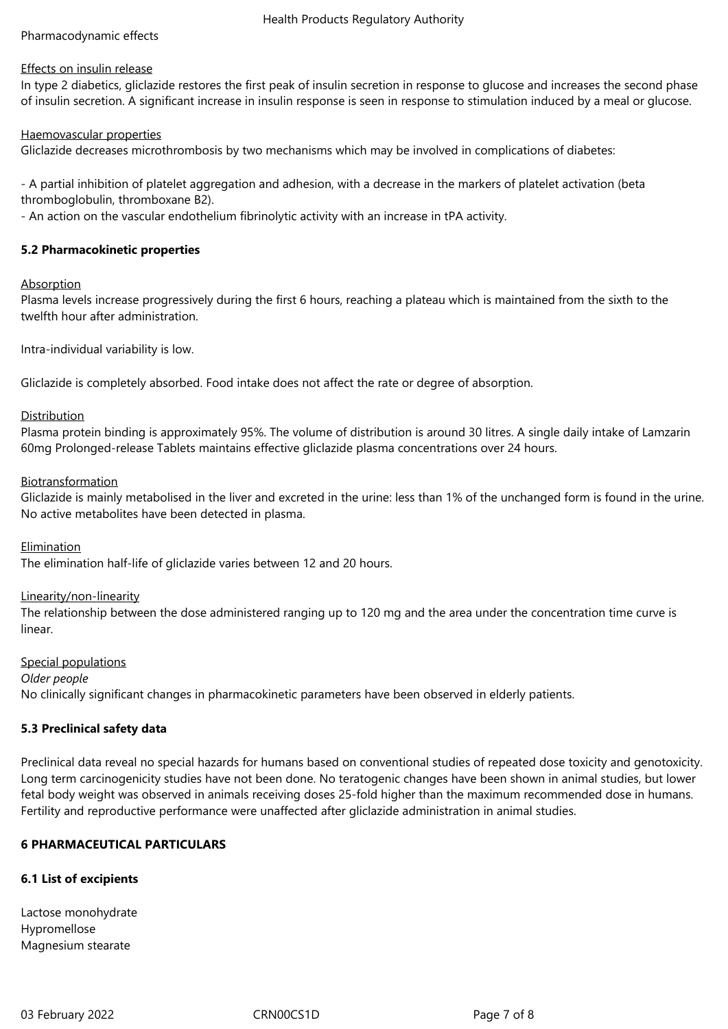#### Health Products Regulatory Authority

# Pharmacodynamic effects

## Effects on insulin release

In type 2 diabetics, gliclazide restores the first peak of insulin secretion in response to glucose and increases the second phase of insulin secretion. A significant increase in insulin response is seen in response to stimulation induced by a meal or glucose.

# Haemovascular properties

Gliclazide decreases microthrombosis by two mechanisms which may be involved in complications of diabetes:

- A partial inhibition of platelet aggregation and adhesion, with a decrease in the markers of platelet activation (beta thromboglobulin, thromboxane B2).

- An action on the vascular endothelium fibrinolytic activity with an increase in tPA activity.

# **5.2 Pharmacokinetic properties**

# Absorption

Plasma levels increase progressively during the first 6 hours, reaching a plateau which is maintained from the sixth to the twelfth hour after administration.

Intra-individual variability is low.

Gliclazide is completely absorbed. Food intake does not affect the rate or degree of absorption.

# Distribution

Plasma protein binding is approximately 95%. The volume of distribution is around 30 litres. A single daily intake of Lamzarin 60mg Prolonged-release Tablets maintains effective gliclazide plasma concentrations over 24 hours.

# **Biotransformation**

Gliclazide is mainly metabolised in the liver and excreted in the urine: less than 1% of the unchanged form is found in the urine. No active metabolites have been detected in plasma.

## Elimination

The elimination half-life of gliclazide varies between 12 and 20 hours.

## Linearity/non-linearity

The relationship between the dose administered ranging up to 120 mg and the area under the concentration time curve is linear.

Special populations *Older people* No clinically significant changes in pharmacokinetic parameters have been observed in elderly patients.

## **5.3 Preclinical safety data**

Preclinical data reveal no special hazards for humans based on conventional studies of repeated dose toxicity and genotoxicity. Long term carcinogenicity studies have not been done. No teratogenic changes have been shown in animal studies, but lower fetal body weight was observed in animals receiving doses 25-fold higher than the maximum recommended dose in humans. Fertility and reproductive performance were unaffected after gliclazide administration in animal studies.

## **6 PHARMACEUTICAL PARTICULARS**

# **6.1 List of excipients**

Lactose monohydrate Hypromellose Magnesium stearate